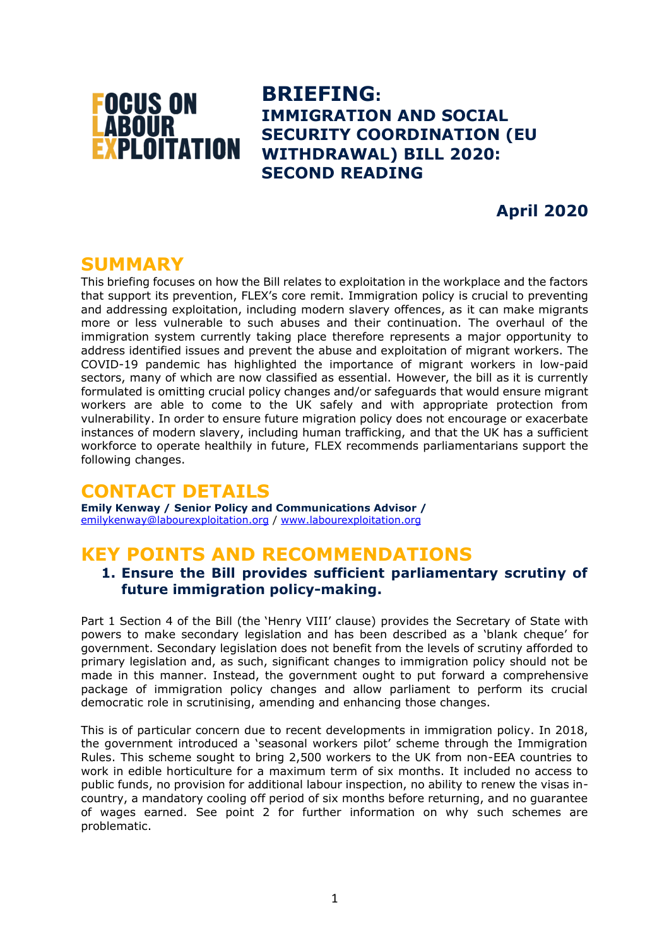

**BRIEFING: IMMIGRATION AND SOCIAL SECURITY COORDINATION (EU WITHDRAWAL) BILL 2020: SECOND READING**

**April 2020**

## **SUMMARY**

This briefing focuses on how the Bill relates to exploitation in the workplace and the factors that support its prevention, FLEX's core remit. Immigration policy is crucial to preventing and addressing exploitation, including modern slavery offences, as it can make migrants more or less vulnerable to such abuses and their continuation. The overhaul of the immigration system currently taking place therefore represents a major opportunity to address identified issues and prevent the abuse and exploitation of migrant workers. The COVID-19 pandemic has highlighted the importance of migrant workers in low-paid sectors, many of which are now classified as essential. However, the bill as it is currently formulated is omitting crucial policy changes and/or safeguards that would ensure migrant workers are able to come to the UK safely and with appropriate protection from vulnerability. In order to ensure future migration policy does not encourage or exacerbate instances of modern slavery, including human trafficking, and that the UK has a sufficient workforce to operate healthily in future, FLEX recommends parliamentarians support the following changes.

# **CONTACT DETAILS**

**Emily Kenway / Senior Policy and Communications Advisor /** [emilykenway@labourexploitation.org](mailto:emilykenway@labourexploitation.org) / [www.labourexploitation.org](http://www.labourexploitation.org/)

# **KEY POINTS AND RECOMMENDATIONS**

## **1. Ensure the Bill provides sufficient parliamentary scrutiny of future immigration policy-making.**

Part 1 Section 4 of the Bill (the 'Henry VIII' clause) provides the Secretary of State with powers to make secondary legislation and has been described as a 'blank cheque' for government. Secondary legislation does not benefit from the levels of scrutiny afforded to primary legislation and, as such, significant changes to immigration policy should not be made in this manner. Instead, the government ought to put forward a comprehensive package of immigration policy changes and allow parliament to perform its crucial democratic role in scrutinising, amending and enhancing those changes.

This is of particular concern due to recent developments in immigration policy. In 2018, the government introduced a 'seasonal workers pilot' scheme through the Immigration Rules. This scheme sought to bring 2,500 workers to the UK from non-EEA countries to work in edible horticulture for a maximum term of six months. It included no access to public funds, no provision for additional labour inspection, no ability to renew the visas incountry, a mandatory cooling off period of six months before returning, and no guarantee of wages earned. See point 2 for further information on why such schemes are problematic.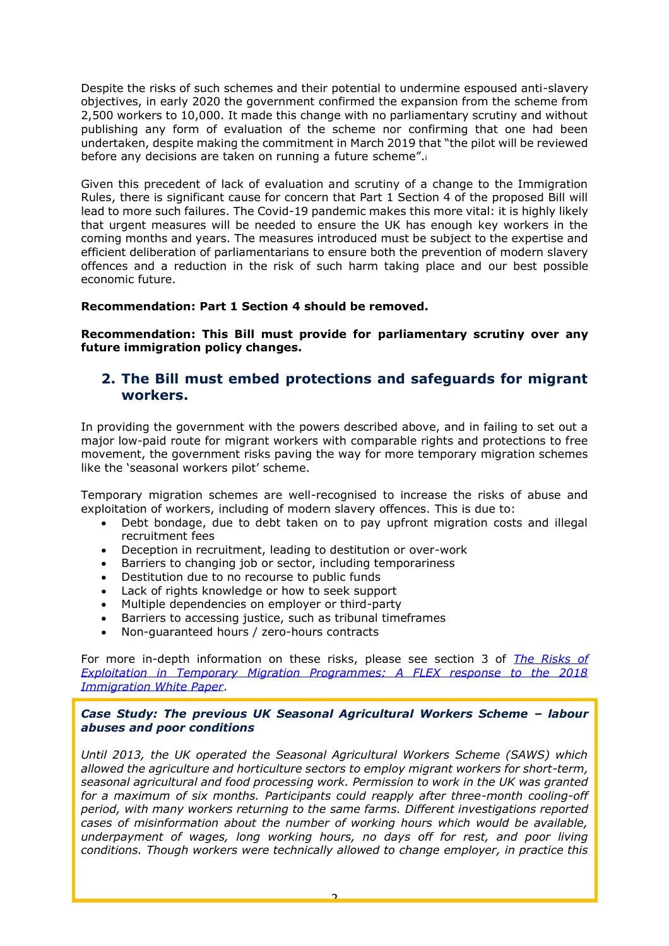Despite the risks of such schemes and their potential to undermine espoused anti-slavery objectives, in early 2020 the government confirmed the expansion from the scheme from 2,500 workers to 10,000. It made this change with no parliamentary scrutiny and without publishing any form of evaluation of the scheme nor confirming that one had been undertaken, despite making the commitment in March 2019 that "the pilot will be reviewed before any decisions are taken on running a future scheme".<sup>i</sup>

Given this precedent of lack of evaluation and scrutiny of a change to the Immigration Rules, there is significant cause for concern that Part 1 Section 4 of the proposed Bill will lead to more such failures. The Covid-19 pandemic makes this more vital: it is highly likely that urgent measures will be needed to ensure the UK has enough key workers in the coming months and years. The measures introduced must be subject to the expertise and efficient deliberation of parliamentarians to ensure both the prevention of modern slavery offences and a reduction in the risk of such harm taking place and our best possible economic future.

### **Recommendation: Part 1 Section 4 should be removed.**

**Recommendation: This Bill must provide for parliamentary scrutiny over any future immigration policy changes.**

## **2. The Bill must embed protections and safeguards for migrant workers.**

In providing the government with the powers described above, and in failing to set out a major low-paid route for migrant workers with comparable rights and protections to free movement, the government risks paving the way for more temporary migration schemes like the 'seasonal workers pilot' scheme.

Temporary migration schemes are well-recognised to increase the risks of abuse and exploitation of workers, including of modern slavery offences. This is due to:

- Debt bondage, due to debt taken on to pay upfront migration costs and illegal recruitment fees
- Deception in recruitment, leading to destitution or over-work
- Barriers to changing job or sector, including temporariness
- Destitution due to no recourse to public funds
- Lack of rights knowledge or how to seek support
- Multiple dependencies on employer or third-party
- Barriers to accessing justice, such as tribunal timeframes
- Non-guaranteed hours / zero-hours contracts

For more in-depth information on these risks, please see section 3 of *[The Risks of](https://www.labourexploitation.org/publications/risks-exploitation-temporary-migration-programmes-flex-response-2018-immigration-white)  [Exploitation in Temporary Migration Programmes: A FLEX response to the 2018](https://www.labourexploitation.org/publications/risks-exploitation-temporary-migration-programmes-flex-response-2018-immigration-white)  [Immigration White Paper](https://www.labourexploitation.org/publications/risks-exploitation-temporary-migration-programmes-flex-response-2018-immigration-white)*.

### *Case Study: The previous UK Seasonal Agricultural Workers Scheme – labour abuses and poor conditions*

*Until 2013, the UK operated the Seasonal Agricultural Workers Scheme (SAWS) which allowed the agriculture and horticulture sectors to employ migrant workers for short-term, seasonal agricultural and food processing work. Permission to work in the UK was granted for a maximum of six months. Participants could reapply after three-month cooling-off period, with many workers returning to the same farms. Different investigations reported cases of misinformation about the number of working hours which would be available, underpayment of wages, long working hours, no days off for rest, and poor living conditions. Though workers were technically allowed to change employer, in practice this*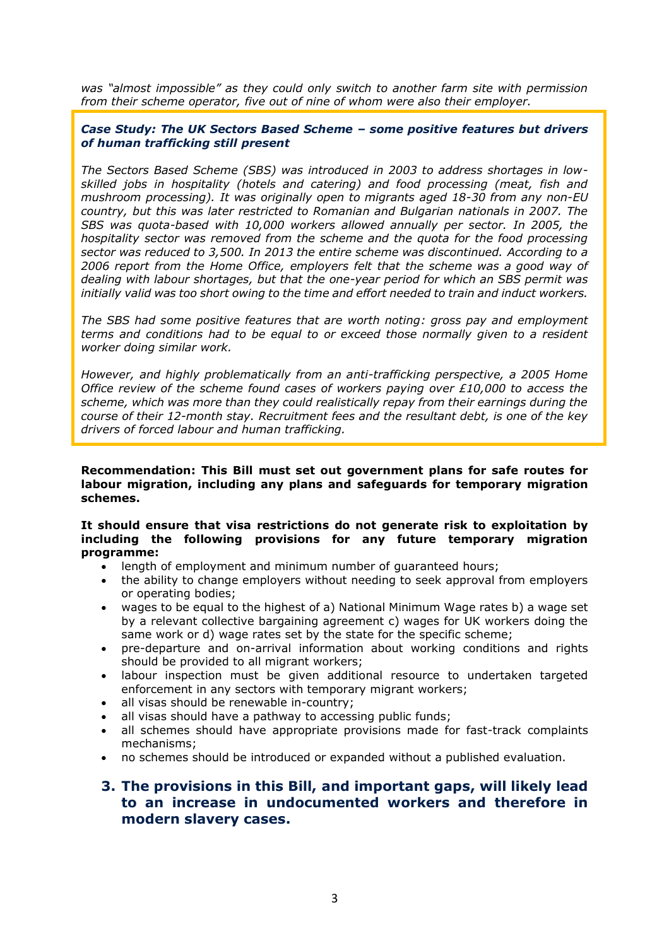*was "almost impossible" as they could only switch to another farm site with permission from their scheme operator, five out of nine of whom were also their employer.* 

#### *Case Study: The UK Sectors Based Scheme – some positive features but drivers of human trafficking still present*

*The Sectors Based Scheme (SBS) was introduced in 2003 to address shortages in lowskilled jobs in hospitality (hotels and catering) and food processing (meat, fish and mushroom processing). It was originally open to migrants aged 18-30 from any non-EU country, but this was later restricted to Romanian and Bulgarian nationals in 2007. The SBS was quota-based with 10,000 workers allowed annually per sector. In 2005, the hospitality sector was removed from the scheme and the quota for the food processing sector was reduced to 3,500. In 2013 the entire scheme was discontinued. According to a 2006 report from the Home Office, employers felt that the scheme was a good way of dealing with labour shortages, but that the one-year period for which an SBS permit was initially valid was too short owing to the time and effort needed to train and induct workers.*

*The SBS had some positive features that are worth noting: gross pay and employment terms and conditions had to be equal to or exceed those normally given to a resident worker doing similar work.* 

*However, and highly problematically from an anti-trafficking perspective, a 2005 Home Office review of the scheme found cases of workers paying over £10,000 to access the scheme, which was more than they could realistically repay from their earnings during the course of their 12-month stay. Recruitment fees and the resultant debt, is one of the key drivers of forced labour and human trafficking.* 

**Recommendation: This Bill must set out government plans for safe routes for labour migration, including any plans and safeguards for temporary migration schemes.**

#### **It should ensure that visa restrictions do not generate risk to exploitation by including the following provisions for any future temporary migration programme:**

- length of employment and minimum number of guaranteed hours;
- the ability to change employers without needing to seek approval from employers or operating bodies;
- wages to be equal to the highest of a) National Minimum Wage rates b) a wage set by a relevant collective bargaining agreement c) wages for UK workers doing the same work or d) wage rates set by the state for the specific scheme;
- pre-departure and on-arrival information about working conditions and rights should be provided to all migrant workers;
- labour inspection must be given additional resource to undertaken targeted enforcement in any sectors with temporary migrant workers;
- all visas should be renewable in-country;
- all visas should have a pathway to accessing public funds;
- all schemes should have appropriate provisions made for fast-track complaints mechanisms;
- no schemes should be introduced or expanded without a published evaluation.

## **3. The provisions in this Bill, and important gaps, will likely lead to an increase in undocumented workers and therefore in modern slavery cases.**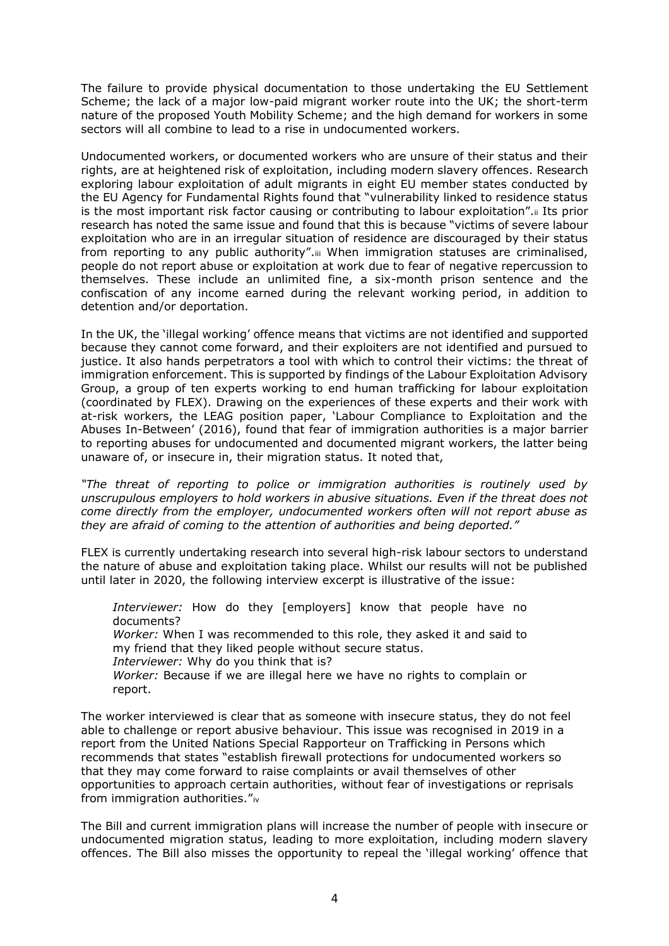The failure to provide physical documentation to those undertaking the EU Settlement Scheme; the lack of a major low-paid migrant worker route into the UK; the short-term nature of the proposed Youth Mobility Scheme; and the high demand for workers in some sectors will all combine to lead to a rise in undocumented workers.

Undocumented workers, or documented workers who are unsure of their status and their rights, are at heightened risk of exploitation, including modern slavery offences. Research exploring labour exploitation of adult migrants in eight EU member states conducted by the EU Agency for Fundamental Rights found that "vulnerability linked to residence status is the most important risk factor causing or contributing to labour exploitation".ii Its prior research has noted the same issue and found that this is because "victims of severe labour exploitation who are in an irregular situation of residence are discouraged by their status from reporting to any public authority".iii When immigration statuses are criminalised, people do not report abuse or exploitation at work due to fear of negative repercussion to themselves. These include an unlimited fine, a six-month prison sentence and the confiscation of any income earned during the relevant working period, in addition to detention and/or deportation.

In the UK, the 'illegal working' offence means that victims are not identified and supported because they cannot come forward, and their exploiters are not identified and pursued to justice. It also hands perpetrators a tool with which to control their victims: the threat of immigration enforcement. This is supported by findings of the Labour Exploitation Advisory Group, a group of ten experts working to end human trafficking for labour exploitation (coordinated by FLEX). Drawing on the experiences of these experts and their work with at-risk workers, the LEAG position paper, 'Labour Compliance to Exploitation and the Abuses In-Between' (2016), found that fear of immigration authorities is a major barrier to reporting abuses for undocumented and documented migrant workers, the latter being unaware of, or insecure in, their migration status. It noted that,

*"The threat of reporting to police or immigration authorities is routinely used by unscrupulous employers to hold workers in abusive situations. Even if the threat does not come directly from the employer, undocumented workers often will not report abuse as they are afraid of coming to the attention of authorities and being deported."* 

FLEX is currently undertaking research into several high-risk labour sectors to understand the nature of abuse and exploitation taking place. Whilst our results will not be published until later in 2020, the following interview excerpt is illustrative of the issue:

*Interviewer:* How do they [employers] know that people have no documents? *Worker:* When I was recommended to this role, they asked it and said to my friend that they liked people without secure status. *Interviewer:* Why do you think that is? *Worker:* Because if we are illegal here we have no rights to complain or report.

The worker interviewed is clear that as someone with insecure status, they do not feel able to challenge or report abusive behaviour. This issue was recognised in 2019 in a report from the United Nations Special Rapporteur on Trafficking in Persons which recommends that states "establish firewall protections for undocumented workers so that they may come forward to raise complaints or avail themselves of other opportunities to approach certain authorities, without fear of investigations or reprisals from immigration authorities."iv

The Bill and current immigration plans will increase the number of people with insecure or undocumented migration status, leading to more exploitation, including modern slavery offences. The Bill also misses the opportunity to repeal the 'illegal working' offence that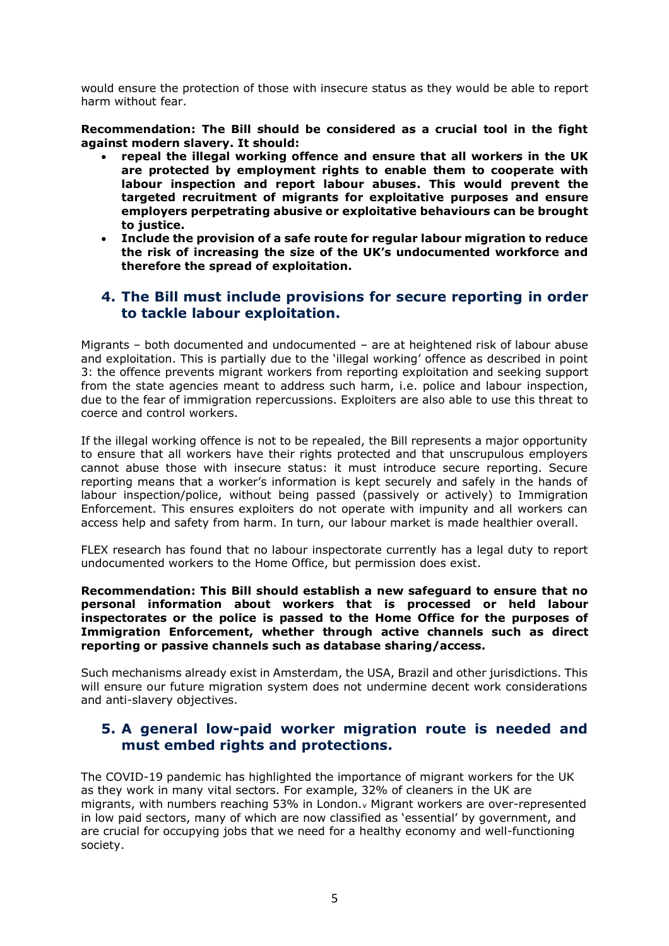would ensure the protection of those with insecure status as they would be able to report harm without fear.

**Recommendation: The Bill should be considered as a crucial tool in the fight against modern slavery. It should:**

- **repeal the illegal working offence and ensure that all workers in the UK are protected by employment rights to enable them to cooperate with labour inspection and report labour abuses. This would prevent the targeted recruitment of migrants for exploitative purposes and ensure employers perpetrating abusive or exploitative behaviours can be brought to justice.**
- **Include the provision of a safe route for regular labour migration to reduce the risk of increasing the size of the UK's undocumented workforce and therefore the spread of exploitation.**

## **4. The Bill must include provisions for secure reporting in order to tackle labour exploitation.**

Migrants – both documented and undocumented – are at heightened risk of labour abuse and exploitation. This is partially due to the 'illegal working' offence as described in point 3: the offence prevents migrant workers from reporting exploitation and seeking support from the state agencies meant to address such harm, i.e. police and labour inspection, due to the fear of immigration repercussions. Exploiters are also able to use this threat to coerce and control workers.

If the illegal working offence is not to be repealed, the Bill represents a major opportunity to ensure that all workers have their rights protected and that unscrupulous employers cannot abuse those with insecure status: it must introduce secure reporting. Secure reporting means that a worker's information is kept securely and safely in the hands of labour inspection/police, without being passed (passively or actively) to Immigration Enforcement. This ensures exploiters do not operate with impunity and all workers can access help and safety from harm. In turn, our labour market is made healthier overall.

FLEX research has found that no labour inspectorate currently has a legal duty to report undocumented workers to the Home Office, but permission does exist.

**Recommendation: This Bill should establish a new safeguard to ensure that no personal information about workers that is processed or held labour inspectorates or the police is passed to the Home Office for the purposes of Immigration Enforcement, whether through active channels such as direct reporting or passive channels such as database sharing/access.**

Such mechanisms already exist in Amsterdam, the USA, Brazil and other jurisdictions. This will ensure our future migration system does not undermine decent work considerations and anti-slavery objectives.

## **5. A general low-paid worker migration route is needed and must embed rights and protections.**

The COVID-19 pandemic has highlighted the importance of migrant workers for the UK as they work in many vital sectors. For example, 32% of cleaners in the UK are migrants, with numbers reaching 53% in London.<sup>v</sup> Migrant workers are over-represented in low paid sectors, many of which are now classified as 'essential' by government, and are crucial for occupying jobs that we need for a healthy economy and well-functioning society.